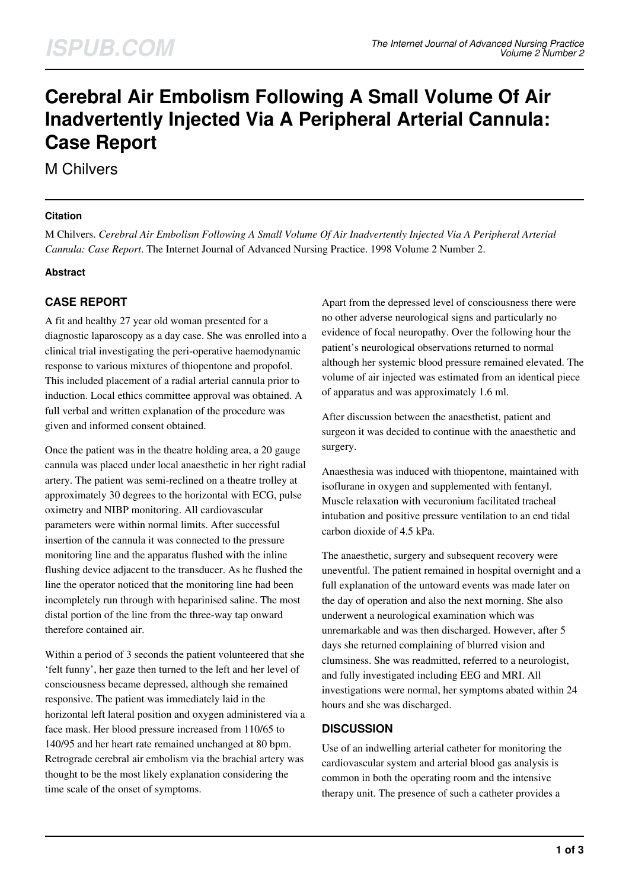# **Cerebral Air Embolism Following A Small Volume Of Air Inadvertently Injected Via A Peripheral Arterial Cannula: Case Report**

M Chilvers

#### **Citation**

M Chilvers. *Cerebral Air Embolism Following A Small Volume Of Air Inadvertently Injected Via A Peripheral Arterial Cannula: Case Report*. The Internet Journal of Advanced Nursing Practice. 1998 Volume 2 Number 2.

### **Abstract**

# **CASE REPORT**

A fit and healthy 27 year old woman presented for a diagnostic laparoscopy as a day case. She was enrolled into a clinical trial investigating the peri-operative haemodynamic response to various mixtures of thiopentone and propofol. This included placement of a radial arterial cannula prior to induction. Local ethics committee approval was obtained. A full verbal and written explanation of the procedure was given and informed consent obtained.

Once the patient was in the theatre holding area, a 20 gauge cannula was placed under local anaesthetic in her right radial artery. The patient was semi-reclined on a theatre trolley at approximately 30 degrees to the horizontal with ECG, pulse oximetry and NIBP monitoring. All cardiovascular parameters were within normal limits. After successful insertion of the cannula it was connected to the pressure monitoring line and the apparatus flushed with the inline flushing device adjacent to the transducer. As he flushed the line the operator noticed that the monitoring line had been incompletely run through with heparinised saline. The most distal portion of the line from the three-way tap onward therefore contained air.

Within a period of 3 seconds the patient volunteered that she 'felt funny', her gaze then turned to the left and her level of consciousness became depressed, although she remained responsive. The patient was immediately laid in the horizontal left lateral position and oxygen administered via a face mask. Her blood pressure increased from 110/65 to 140/95 and her heart rate remained unchanged at 80 bpm. Retrograde cerebral air embolism via the brachial artery was thought to be the most likely explanation considering the time scale of the onset of symptoms.

Apart from the depressed level of consciousness there were no other adverse neurological signs and particularly no evidence of focal neuropathy. Over the following hour the patient's neurological observations returned to normal although her systemic blood pressure remained elevated. The volume of air injected was estimated from an identical piece of apparatus and was approximately 1.6 ml.

After discussion between the anaesthetist, patient and surgeon it was decided to continue with the anaesthetic and surgery.

Anaesthesia was induced with thiopentone, maintained with isoflurane in oxygen and supplemented with fentanyl. Muscle relaxation with vecuronium facilitated tracheal intubation and positive pressure ventilation to an end tidal carbon dioxide of 4.5 kPa.

The anaesthetic, surgery and subsequent recovery were uneventful. The patient remained in hospital overnight and a full explanation of the untoward events was made later on the day of operation and also the next morning. She also underwent a neurological examination which was unremarkable and was then discharged. However, after 5 days she returned complaining of blurred vision and clumsiness. She was readmitted, referred to a neurologist, and fully investigated including EEG and MRI. All investigations were normal, her symptoms abated within 24 hours and she was discharged.

### **DISCUSSION**

Use of an indwelling arterial catheter for monitoring the cardiovascular system and arterial blood gas analysis is common in both the operating room and the intensive therapy unit. The presence of such a catheter provides a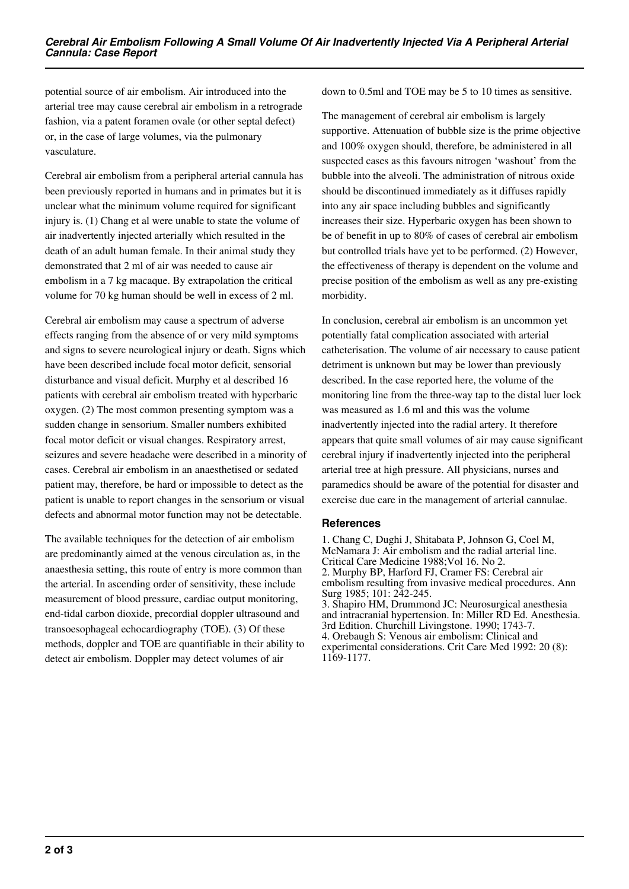potential source of air embolism. Air introduced into the arterial tree may cause cerebral air embolism in a retrograde fashion, via a patent foramen ovale (or other septal defect) or, in the case of large volumes, via the pulmonary vasculature.

Cerebral air embolism from a peripheral arterial cannula has been previously reported in humans and in primates but it is unclear what the minimum volume required for significant injury is. (1) Chang et al were unable to state the volume of air inadvertently injected arterially which resulted in the death of an adult human female. In their animal study they demonstrated that 2 ml of air was needed to cause air embolism in a 7 kg macaque. By extrapolation the critical volume for 70 kg human should be well in excess of 2 ml.

Cerebral air embolism may cause a spectrum of adverse effects ranging from the absence of or very mild symptoms and signs to severe neurological injury or death. Signs which have been described include focal motor deficit, sensorial disturbance and visual deficit. Murphy et al described 16 patients with cerebral air embolism treated with hyperbaric oxygen. (2) The most common presenting symptom was a sudden change in sensorium. Smaller numbers exhibited focal motor deficit or visual changes. Respiratory arrest, seizures and severe headache were described in a minority of cases. Cerebral air embolism in an anaesthetised or sedated patient may, therefore, be hard or impossible to detect as the patient is unable to report changes in the sensorium or visual defects and abnormal motor function may not be detectable.

The available techniques for the detection of air embolism are predominantly aimed at the venous circulation as, in the anaesthesia setting, this route of entry is more common than the arterial. In ascending order of sensitivity, these include measurement of blood pressure, cardiac output monitoring, end-tidal carbon dioxide, precordial doppler ultrasound and transoesophageal echocardiography (TOE). (3) Of these methods, doppler and TOE are quantifiable in their ability to detect air embolism. Doppler may detect volumes of air

down to 0.5ml and TOE may be 5 to 10 times as sensitive.

The management of cerebral air embolism is largely supportive. Attenuation of bubble size is the prime objective and 100% oxygen should, therefore, be administered in all suspected cases as this favours nitrogen 'washout' from the bubble into the alveoli. The administration of nitrous oxide should be discontinued immediately as it diffuses rapidly into any air space including bubbles and significantly increases their size. Hyperbaric oxygen has been shown to be of benefit in up to 80% of cases of cerebral air embolism but controlled trials have yet to be performed. (2) However, the effectiveness of therapy is dependent on the volume and precise position of the embolism as well as any pre-existing morbidity.

In conclusion, cerebral air embolism is an uncommon yet potentially fatal complication associated with arterial catheterisation. The volume of air necessary to cause patient detriment is unknown but may be lower than previously described. In the case reported here, the volume of the monitoring line from the three-way tap to the distal luer lock was measured as 1.6 ml and this was the volume inadvertently injected into the radial artery. It therefore appears that quite small volumes of air may cause significant cerebral injury if inadvertently injected into the peripheral arterial tree at high pressure. All physicians, nurses and paramedics should be aware of the potential for disaster and exercise due care in the management of arterial cannulae.

#### **References**

1. Chang C, Dughi J, Shitabata P, Johnson G, Coel M, McNamara J: Air embolism and the radial arterial line. Critical Care Medicine 1988;Vol 16. No 2. 2. Murphy BP, Harford FJ, Cramer FS: Cerebral air embolism resulting from invasive medical procedures. Ann Surg 1985; 101: 242-245. 3. Shapiro HM, Drummond JC: Neurosurgical anesthesia and intracranial hypertension. In: Miller RD Ed. Anesthesia. 3rd Edition. Churchill Livingstone. 1990; 1743-7. 4. Orebaugh S: Venous air embolism: Clinical and experimental considerations. Crit Care Med 1992: 20 (8): 1169-1177.